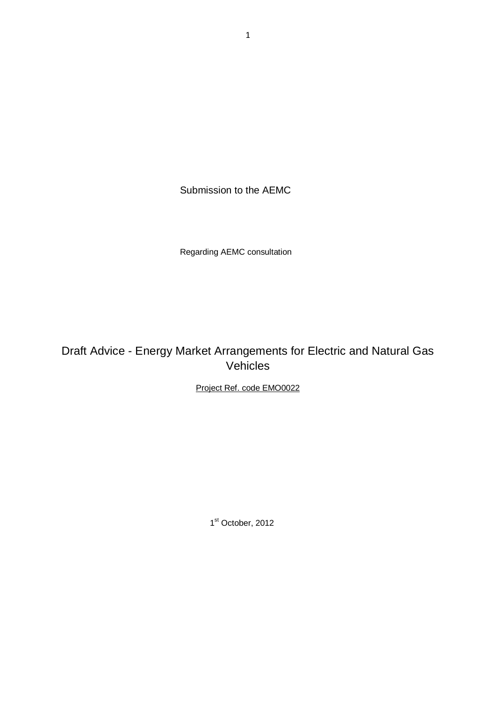Submission to the AEMC

Regarding AEMC consultation

Draft Advice - Energy Market Arrangements for Electric and Natural Gas Vehicles

Project Ref. code EMO0022

1<sup>st</sup> October, 2012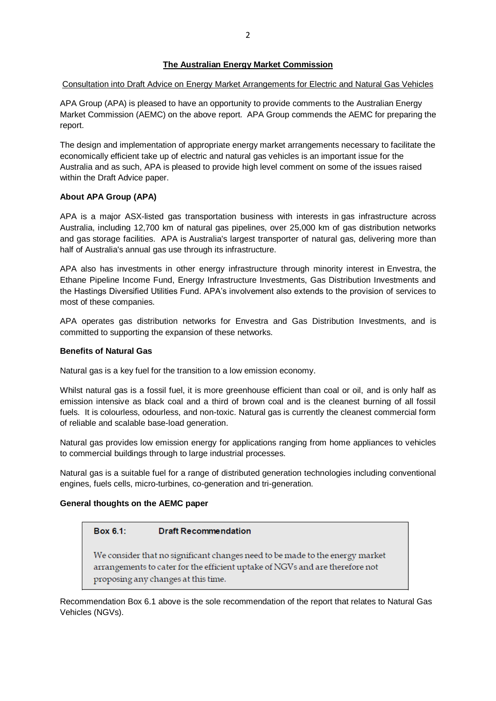# **The Australian Energy Market Commission**

# Consultation into Draft Advice on Energy Market Arrangements for Electric and Natural Gas Vehicles

APA Group (APA) is pleased to have an opportunity to provide comments to the Australian Energy Market Commission (AEMC) on the above report. APA Group commends the AEMC for preparing the report.

The design and implementation of appropriate energy market arrangements necessary to facilitate the economically efficient take up of electric and natural gas vehicles is an important issue for the Australia and as such, APA is pleased to provide high level comment on some of the issues raised within the Draft Advice paper.

# **About APA Group (APA)**

APA is a major ASX-listed gas transportation business with interests in gas infrastructure across Australia, including 12,700 km of natural gas pipelines, over 25,000 km of gas distribution networks and gas storage facilities. APA is Australia's largest transporter of natural gas, delivering more than half of Australia's annual gas use through its infrastructure.

APA also has investments in other energy infrastructure through minority interest in Envestra, the Ethane Pipeline Income Fund, Energy Infrastructure Investments, Gas Distribution Investments and the Hastings Diversified Utilities Fund. APA's involvement also extends to the provision of services to most of these companies.

APA operates gas distribution networks for Envestra and Gas Distribution Investments, and is committed to supporting the expansion of these networks.

# **Benefits of Natural Gas**

Natural gas is a key fuel for the transition to a low emission economy.

Whilst natural gas is a fossil fuel, it is more greenhouse efficient than coal or oil, and is only half as emission intensive as black coal and a third of brown coal and is the cleanest burning of all fossil fuels. It is colourless, odourless, and non-toxic. Natural gas is currently the cleanest commercial form of reliable and scalable base-load generation.

Natural gas provides low emission energy for applications ranging from home appliances to vehicles to commercial buildings through to large industrial processes.

Natural gas is a suitable fuel for a range of distributed generation technologies including conventional engines, fuels cells, micro-turbines, co-generation and tri-generation.

# **General thoughts on the AEMC paper**

#### Box 6.1: **Draft Recommendation**

We consider that no significant changes need to be made to the energy market arrangements to cater for the efficient uptake of NGVs and are therefore not proposing any changes at this time.

Recommendation Box 6.1 above is the sole recommendation of the report that relates to Natural Gas Vehicles (NGVs).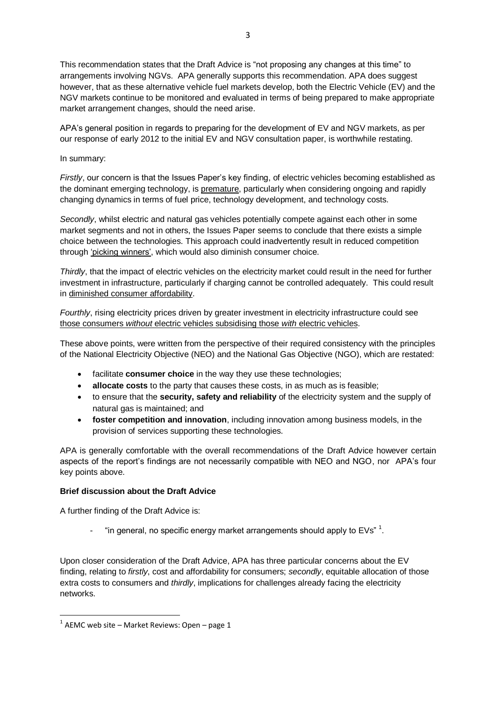3

This recommendation states that the Draft Advice is "not proposing any changes at this time" to arrangements involving NGVs. APA generally supports this recommendation. APA does suggest however, that as these alternative vehicle fuel markets develop, both the Electric Vehicle (EV) and the NGV markets continue to be monitored and evaluated in terms of being prepared to make appropriate market arrangement changes, should the need arise.

APA's general position in regards to preparing for the development of EV and NGV markets, as per our response of early 2012 to the initial EV and NGV consultation paper, is worthwhile restating.

In summary:

*Firstly*, our concern is that the Issues Paper's key finding, of electric vehicles becoming established as the dominant emerging technology, is premature, particularly when considering ongoing and rapidly changing dynamics in terms of fuel price, technology development, and technology costs.

*Secondly*, whilst electric and natural gas vehicles potentially compete against each other in some market segments and not in others, the Issues Paper seems to conclude that there exists a simple choice between the technologies. This approach could inadvertently result in reduced competition through 'picking winners', which would also diminish consumer choice.

*Thirdly*, that the impact of electric vehicles on the electricity market could result in the need for further investment in infrastructure, particularly if charging cannot be controlled adequately. This could result in diminished consumer affordability.

*Fourthly*, rising electricity prices driven by greater investment in electricity infrastructure could see those consumers *without* electric vehicles subsidising those *with* electric vehicles.

These above points, were written from the perspective of their required consistency with the principles of the National Electricity Objective (NEO) and the National Gas Objective (NGO), which are restated:

- facilitate **consumer choice** in the way they use these technologies;
- **allocate costs** to the party that causes these costs, in as much as is feasible;
- to ensure that the **security, safety and reliability** of the electricity system and the supply of natural gas is maintained; and
- **foster competition and innovation**, including innovation among business models, in the provision of services supporting these technologies.

APA is generally comfortable with the overall recommendations of the Draft Advice however certain aspects of the report's findings are not necessarily compatible with NEO and NGO, nor APA's four key points above.

# **Brief discussion about the Draft Advice**

A further finding of the Draft Advice is:

- "in general, no specific energy market arrangements should apply to EVs"  $^1$ .

Upon closer consideration of the Draft Advice, APA has three particular concerns about the EV finding, relating to *firstly*, cost and affordability for consumers; *secondly*, equitable allocation of those extra costs to consumers and *thirdly*, implications for challenges already facing the electricity networks.

1

 $1$  AEMC web site – Market Reviews: Open – page 1